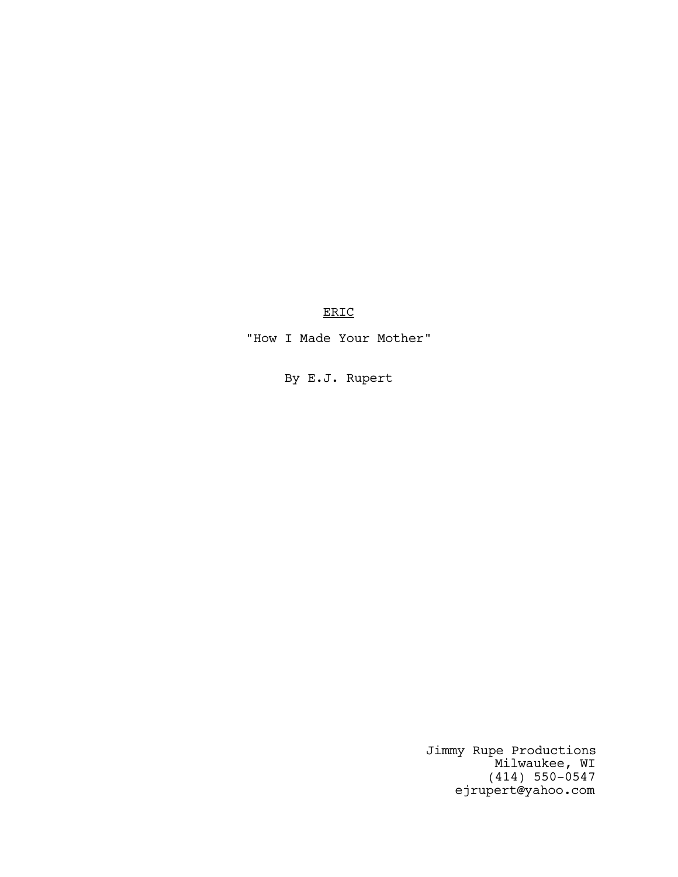ERIC

"How I Made Your Mother"

By E.J. Rupert

Jimmy Rupe Productions Milwaukee, WI (414) 550-0547 ejrupert@yahoo.com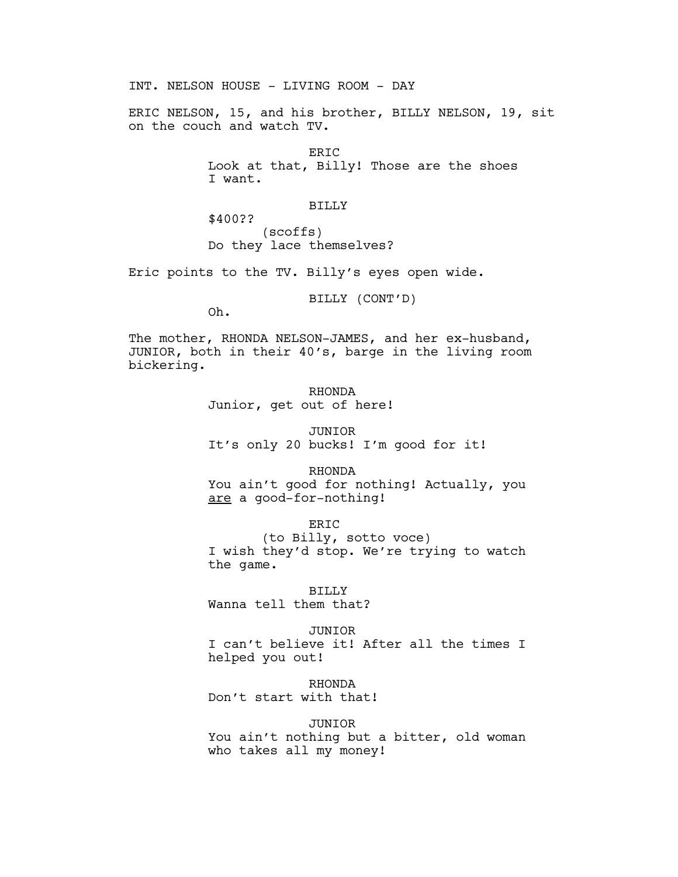INT. NELSON HOUSE - LIVING ROOM - DAY

ERIC NELSON, 15, and his brother, BILLY NELSON, 19, sit on the couch and watch TV.

> ERIC Look at that, Billy! Those are the shoes I want.

## BILLY

\$400?? (scoffs) Do they lace themselves?

Eric points to the TV. Billy's eyes open wide.

BILLY (CONT'D)

Oh.

The mother, RHONDA NELSON-JAMES, and her ex-husband, JUNIOR, both in their 40's, barge in the living room bickering.

> RHONDA Junior, get out of here!

JUNIOR It's only 20 bucks! I'm good for it!

RHONDA

You ain't good for nothing! Actually, you are a good-for-nothing!

ERIC

(to Billy, sotto voce) I wish they'd stop. We're trying to watch the game.

BILLY

Wanna tell them that?

JUNIOR

I can't believe it! After all the times I helped you out!

RHONDA

Don't start with that!

JUNIOR

You ain't nothing but a bitter, old woman who takes all my money!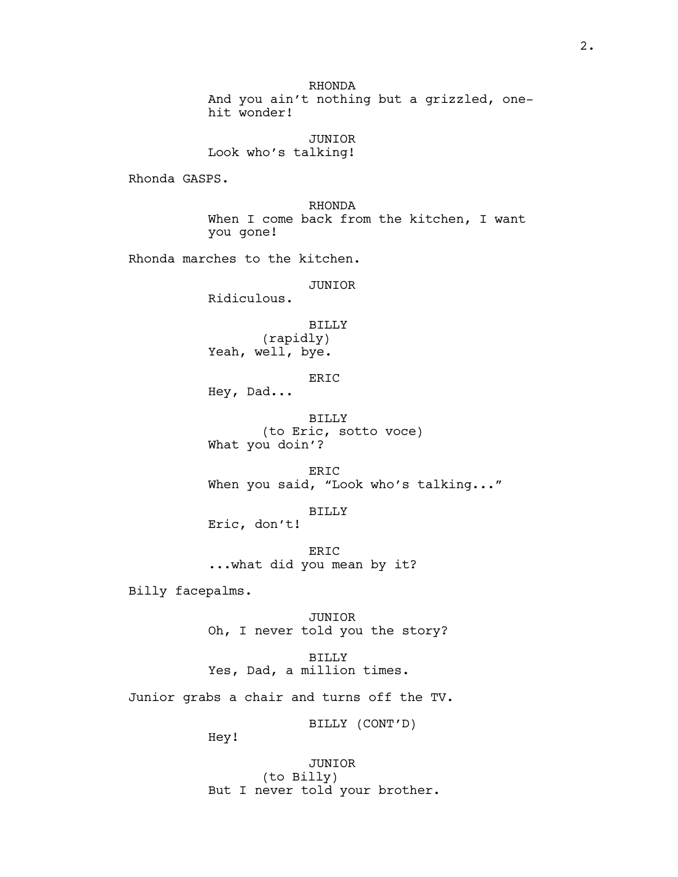RHONDA And you ain't nothing but a grizzled, onehit wonder!

JUNIOR Look who's talking!

Rhonda GASPS.

RHONDA When I come back from the kitchen, I want you gone!

Rhonda marches to the kitchen.

JUNIOR

Ridiculous.

BILLY (rapidly) Yeah, well, bye.

ERIC

Hey, Dad...

BILLY (to Eric, sotto voce) What you doin'?

ERIC When you said, "Look who's talking..."

BILLY Eric, don't!

ERIC ...what did you mean by it?

Billy facepalms.

JUNIOR Oh, I never told you the story?

BILLY Yes, Dad, a million times.

Junior grabs a chair and turns off the TV.

BILLY (CONT'D)

Hey!

JUNIOR (to Billy) But I never told your brother.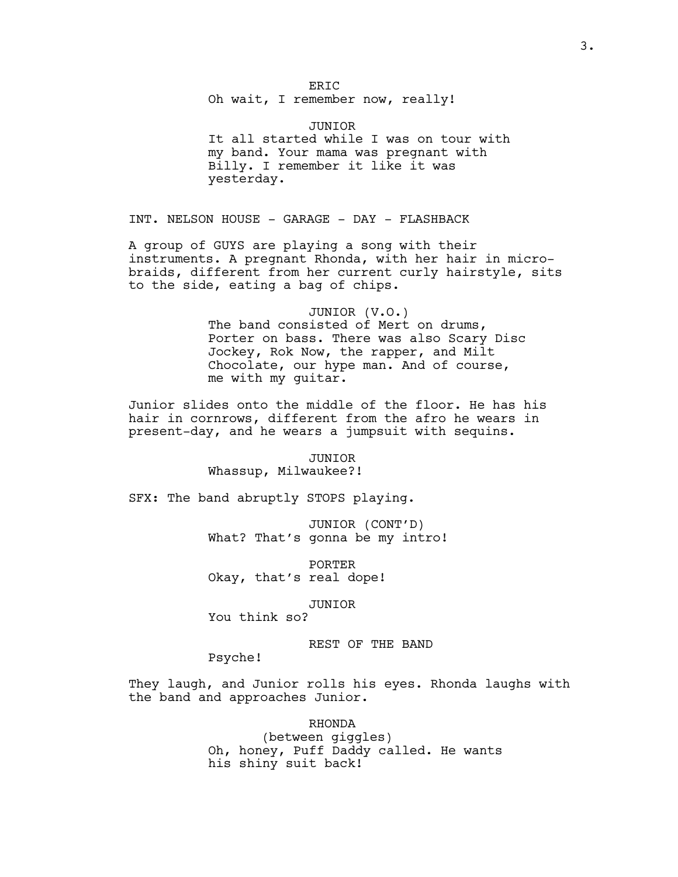Oh wait, I remember now, really!

## JUNIOR

It all started while I was on tour with my band. Your mama was pregnant with Billy. I remember it like it was yesterday.

INT. NELSON HOUSE - GARAGE - DAY - FLASHBACK

A group of GUYS are playing a song with their instruments. A pregnant Rhonda, with her hair in microbraids, different from her current curly hairstyle, sits to the side, eating a bag of chips.

#### JUNIOR (V.O.)

The band consisted of Mert on drums, Porter on bass. There was also Scary Disc Jockey, Rok Now, the rapper, and Milt Chocolate, our hype man. And of course, me with my guitar.

Junior slides onto the middle of the floor. He has his hair in cornrows, different from the afro he wears in present-day, and he wears a jumpsuit with sequins.

#### JUNIOR

Whassup, Milwaukee?!

SFX: The band abruptly STOPS playing.

JUNIOR (CONT'D) What? That's gonna be my intro!

PORTER Okay, that's real dope!

## JUNIOR

You think so?

## REST OF THE BAND

Psyche!

They laugh, and Junior rolls his eyes. Rhonda laughs with the band and approaches Junior.

> RHONDA (between giggles) Oh, honey, Puff Daddy called. He wants his shiny suit back!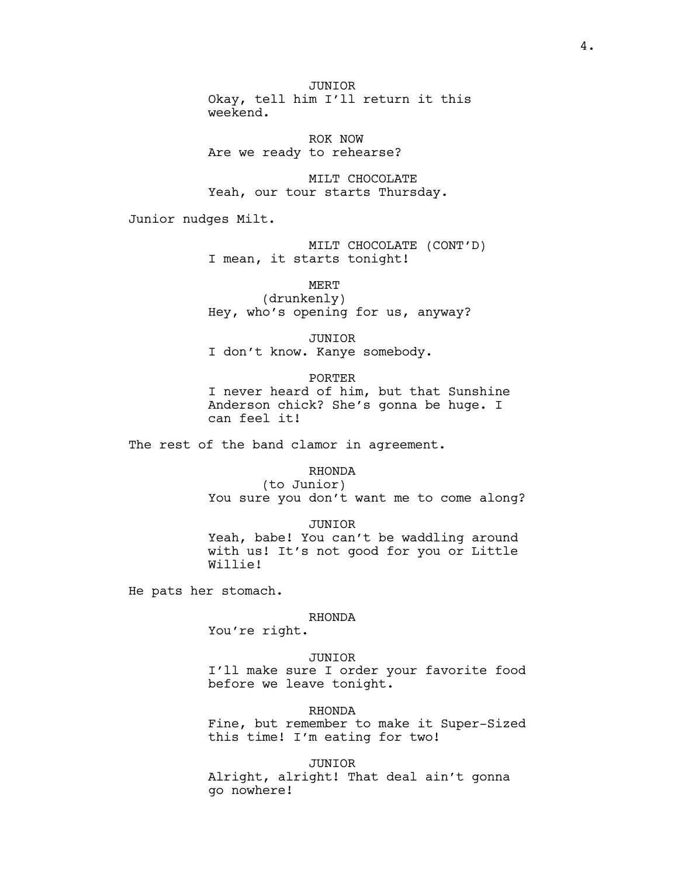JUNIOR Okay, tell him I'll return it this weekend.

ROK NOW Are we ready to rehearse?

MILT CHOCOLATE Yeah, our tour starts Thursday.

Junior nudges Milt.

MILT CHOCOLATE (CONT'D) I mean, it starts tonight!

MERT (drunkenly) Hey, who's opening for us, anyway?

JUNIOR I don't know. Kanye somebody.

PORTER I never heard of him, but that Sunshine Anderson chick? She's gonna be huge. I can feel it!

The rest of the band clamor in agreement.

### RHONDA

(to Junior) You sure you don't want me to come along?

JUNIOR Yeah, babe! You can't be waddling around with us! It's not good for you or Little Willie!

He pats her stomach.

### RHONDA

You're right.

## JUNIOR

I'll make sure I order your favorite food before we leave tonight.

RHONDA

Fine, but remember to make it Super-Sized this time! I'm eating for two!

JUNIOR

Alright, alright! That deal ain't gonna go nowhere!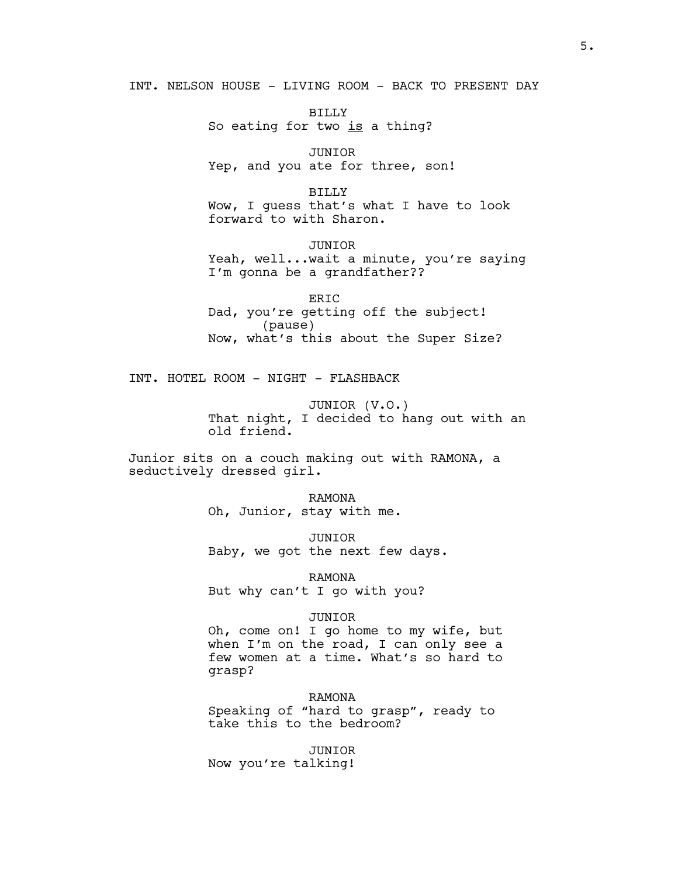INT. NELSON HOUSE - LIVING ROOM - BACK TO PRESENT DAY

BILLY So eating for two is a thing?

JUNIOR Yep, and you ate for three, son!

BILLY Wow, I guess that's what I have to look forward to with Sharon.

JUNIOR Yeah, well...wait a minute, you're saying I'm gonna be a grandfather??

ERIC Dad, you're getting off the subject! (pause) Now, what's this about the Super Size?

INT. HOTEL ROOM - NIGHT - FLASHBACK

JUNIOR (V.O.) That night, I decided to hang out with an old friend.

Junior sits on a couch making out with RAMONA, a seductively dressed girl.

> RAMONA Oh, Junior, stay with me.

JUNIOR Baby, we got the next few days.

RAMONA But why can't I go with you?

### JUNIOR

Oh, come on! I go home to my wife, but when I'm on the road, I can only see a few women at a time. What's so hard to grasp?

RAMONA

Speaking of "hard to grasp", ready to take this to the bedroom?

JUNIOR Now you're talking!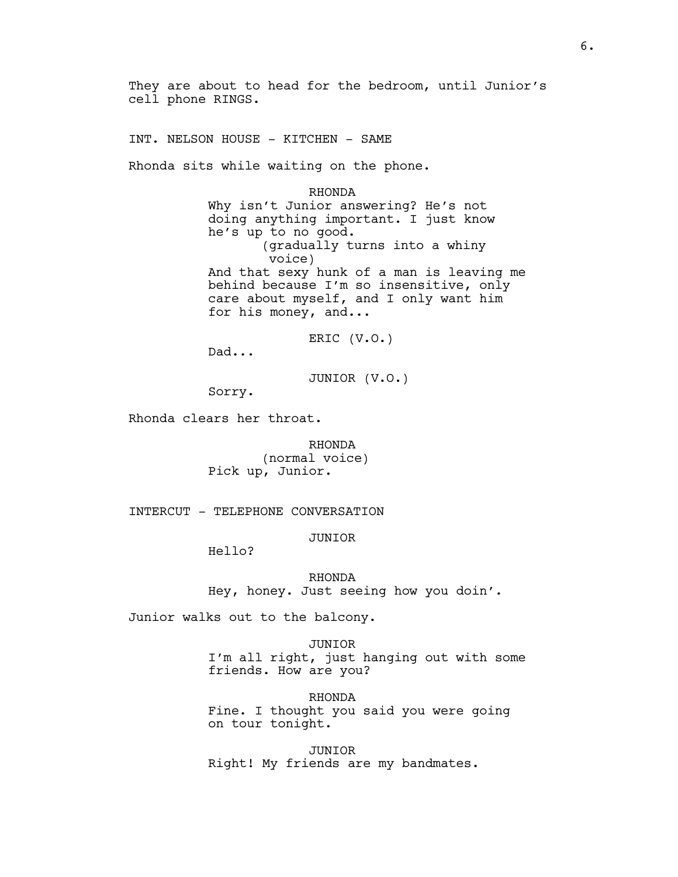They are about to head for the bedroom, until Junior's cell phone RINGS.

INT. NELSON HOUSE - KITCHEN - SAME

Rhonda sits while waiting on the phone.

RHONDA Why isn't Junior answering? He's not doing anything important. I just know he's up to no good. (gradually turns into a whiny voice) And that sexy hunk of a man is leaving me behind because I'm so insensitive, only care about myself, and I only want him for his money, and...

ERIC (V.O.)

Dad...

JUNIOR (V.O.)

Sorry.

Rhonda clears her throat.

RHONDA (normal voice) Pick up, Junior.

INTERCUT - TELEPHONE CONVERSATION

JUNIOR

Hello?

RHONDA Hey, honey. Just seeing how you doin'.

Junior walks out to the balcony.

JUNIOR I'm all right, just hanging out with some friends. How are you?

RHONDA Fine. I thought you said you were going on tour tonight.

JUNIOR Right! My friends are my bandmates.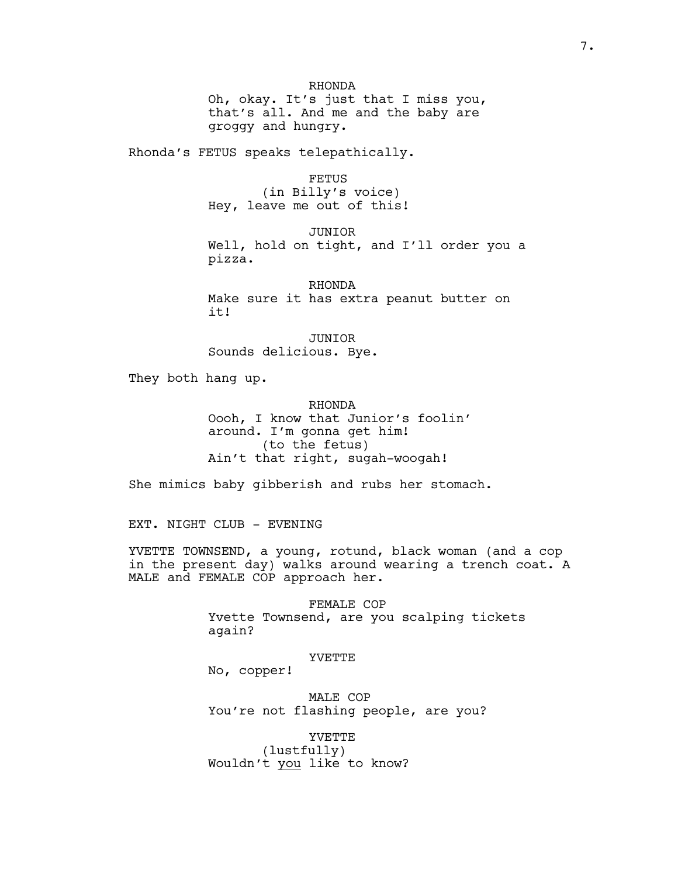Oh, okay. It's just that I miss you, that's all. And me and the baby are groggy and hungry.

Rhonda's FETUS speaks telepathically.

FETUS (in Billy's voice) Hey, leave me out of this!

JUNIOR Well, hold on tight, and I'll order you a pizza.

RHONDA Make sure it has extra peanut butter on it!

JUNIOR Sounds delicious. Bye.

They both hang up.

RHONDA Oooh, I know that Junior's foolin' around. I'm gonna get him! (to the fetus) Ain't that right, sugah-woogah!

She mimics baby gibberish and rubs her stomach.

EXT. NIGHT CLUB - EVENING

YVETTE TOWNSEND, a young, rotund, black woman (and a cop in the present day) walks around wearing a trench coat. A MALE and FEMALE COP approach her.

> FEMALE COP Yvette Townsend, are you scalping tickets again?

# YVETTE

No, copper!

MALE COP You're not flashing people, are you?

YVETTE (lustfully) Wouldn't you like to know?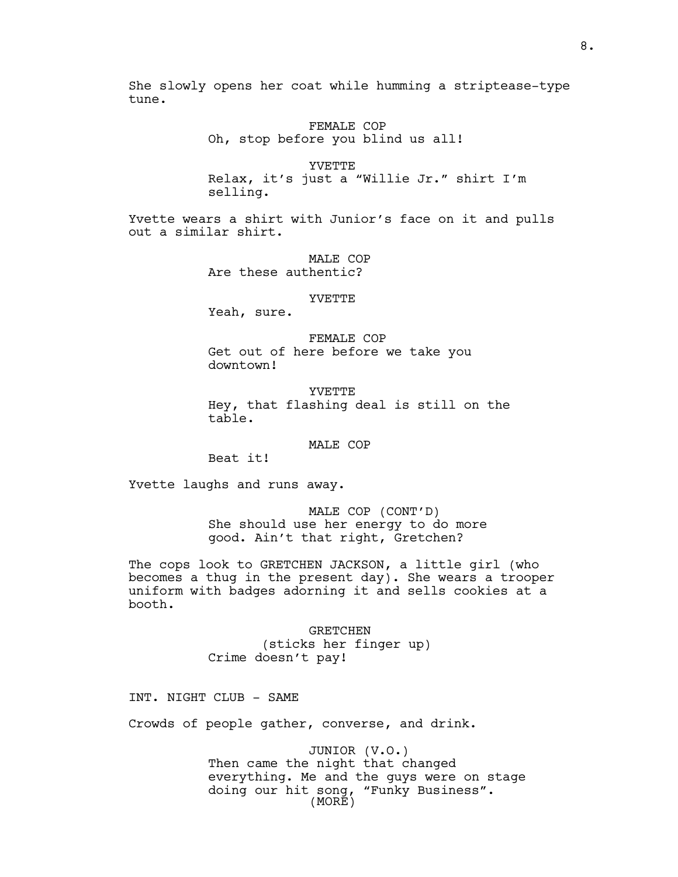She slowly opens her coat while humming a striptease-type tune.

> FEMALE COP Oh, stop before you blind us all!

YVETTE Relax, it's just a "Willie Jr." shirt I'm selling.

Yvette wears a shirt with Junior's face on it and pulls out a similar shirt.

> MALE COP Are these authentic?

#### YVETTE

Yeah, sure.

FEMALE COP Get out of here before we take you downtown!

YVETTE Hey, that flashing deal is still on the table.

MALE COP

Beat it!

Yvette laughs and runs away.

MALE COP (CONT'D) She should use her energy to do more good. Ain't that right, Gretchen?

The cops look to GRETCHEN JACKSON, a little girl (who becomes a thug in the present day). She wears a trooper uniform with badges adorning it and sells cookies at a booth.

> GRETCHEN (sticks her finger up) Crime doesn't pay!

INT. NIGHT CLUB - SAME

Crowds of people gather, converse, and drink.

JUNIOR (V.O.) Then came the night that changed everything. Me and the guys were on stage doing our hit song, "Funky Business". (MORE)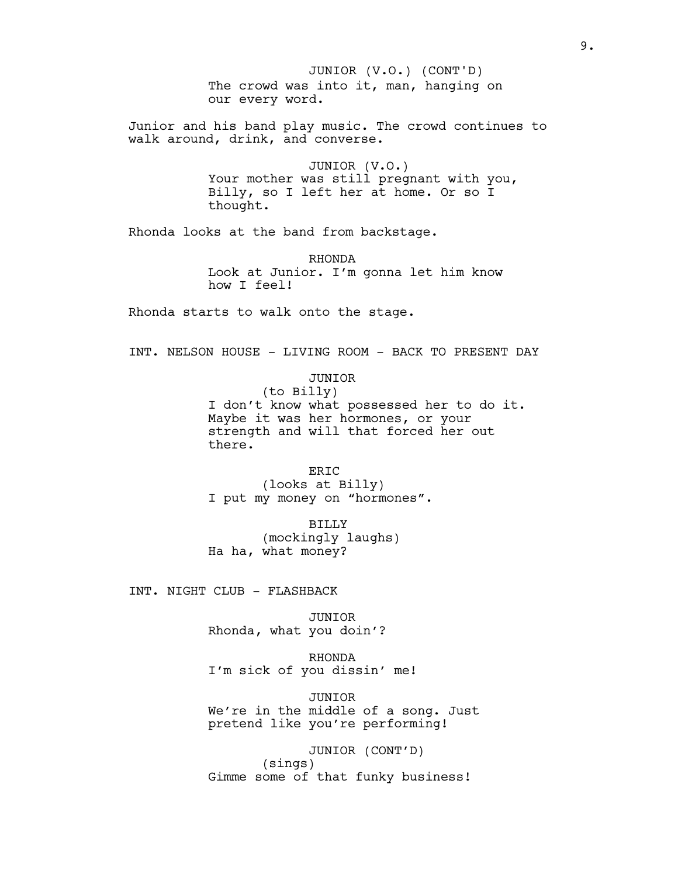The crowd was into it, man, hanging on our every word. JUNIOR (V.O.) (CONT'D)

Junior and his band play music. The crowd continues to walk around, drink, and converse.

> JUNIOR (V.O.) Your mother was still pregnant with you, Billy, so I left her at home. Or so I thought.

Rhonda looks at the band from backstage.

RHONDA Look at Junior. I'm gonna let him know how I feel!

Rhonda starts to walk onto the stage.

INT. NELSON HOUSE - LIVING ROOM - BACK TO PRESENT DAY

JUNIOR

(to Billy) I don't know what possessed her to do it. Maybe it was her hormones, or your strength and will that forced her out there.

ER<sub>TC</sub> (looks at Billy) I put my money on "hormones".

BILLY (mockingly laughs) Ha ha, what money?

INT. NIGHT CLUB - FLASHBACK

JUNIOR Rhonda, what you doin'?

RHONDA I'm sick of you dissin' me!

JUNIOR We're in the middle of a song. Just pretend like you're performing!

JUNIOR (CONT'D) (sings) Gimme some of that funky business!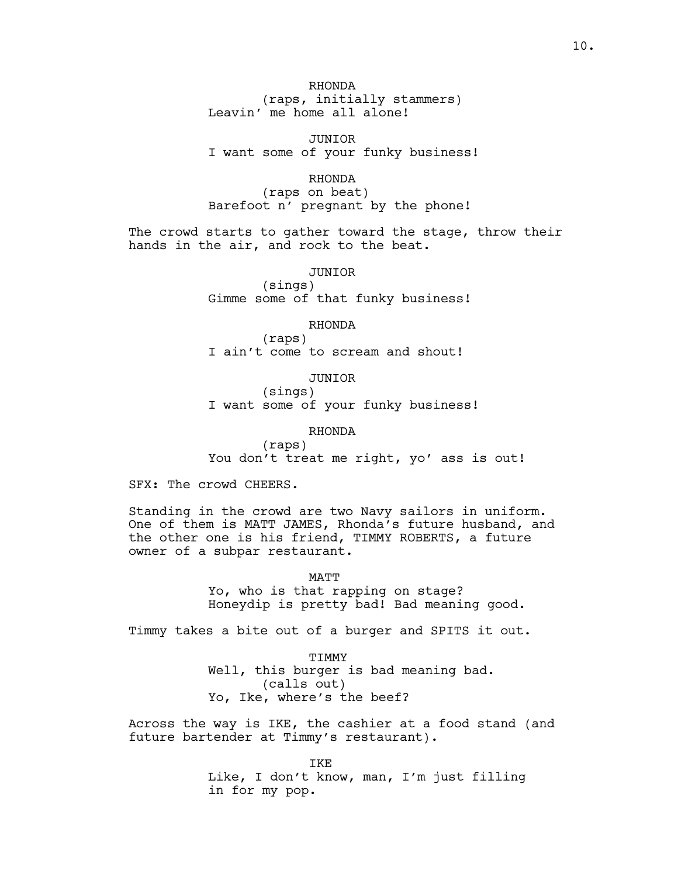RHONDA (raps, initially stammers) Leavin' me home all alone!

JUNIOR I want some of your funky business!

RHONDA

(raps on beat) Barefoot n' pregnant by the phone!

The crowd starts to gather toward the stage, throw their hands in the air, and rock to the beat.

JUNIOR

(sings) Gimme some of that funky business!

RHONDA

(raps) I ain't come to scream and shout!

JUNIOR

(sings) I want some of your funky business!

RHONDA

(raps) You don't treat me right, yo' ass is out!

SFX: The crowd CHEERS.

Standing in the crowd are two Navy sailors in uniform. One of them is MATT JAMES, Rhonda's future husband, and the other one is his friend, TIMMY ROBERTS, a future owner of a subpar restaurant.

MATT

Yo, who is that rapping on stage? Honeydip is pretty bad! Bad meaning good.

Timmy takes a bite out of a burger and SPITS it out.

TIMMY Well, this burger is bad meaning bad. (calls out) Yo, Ike, where's the beef?

Across the way is IKE, the cashier at a food stand (and future bartender at Timmy's restaurant).

> IKE Like, I don't know, man, I'm just filling in for my pop.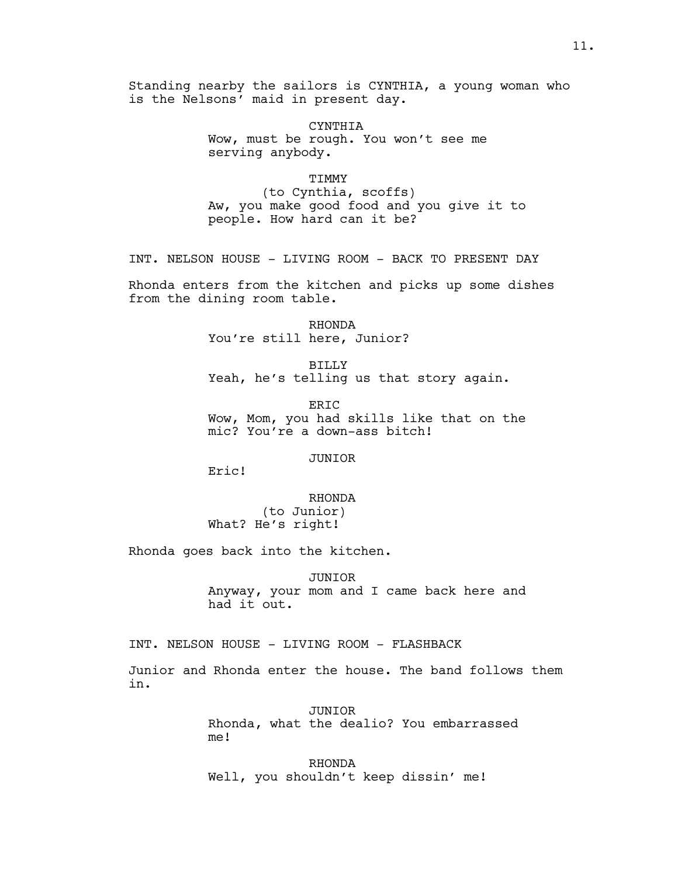Standing nearby the sailors is CYNTHIA, a young woman who is the Nelsons' maid in present day.

> CYNTHIA Wow, must be rough. You won't see me serving anybody.

> > TIMMY

(to Cynthia, scoffs) Aw, you make good food and you give it to people. How hard can it be?

INT. NELSON HOUSE - LIVING ROOM - BACK TO PRESENT DAY

Rhonda enters from the kitchen and picks up some dishes from the dining room table.

> RHONDA You're still here, Junior?

BILLY Yeah, he's telling us that story again.

ER<sub>IC</sub> Wow, Mom, you had skills like that on the mic? You're a down-ass bitch!

JUNIOR

Eric!

RHONDA (to Junior) What? He's right!

Rhonda goes back into the kitchen.

JUNIOR Anyway, your mom and I came back here and had it out.

INT. NELSON HOUSE - LIVING ROOM - FLASHBACK

Junior and Rhonda enter the house. The band follows them in.

> JUNIOR Rhonda, what the dealio? You embarrassed me!

RHONDA Well, you shouldn't keep dissin' me!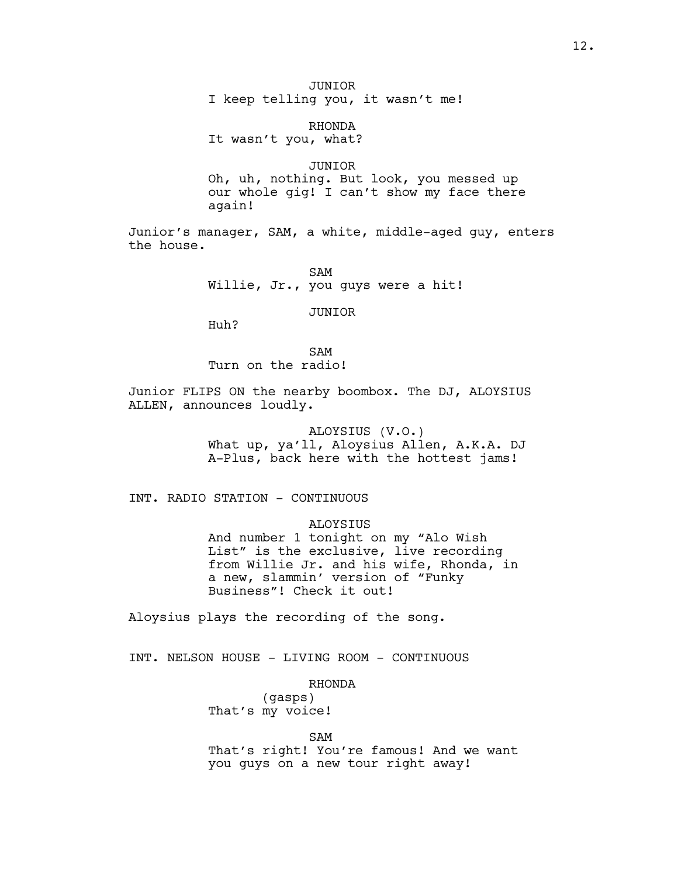I keep telling you, it wasn't me!

RHONDA

It wasn't you, what?

### JUNIOR

Oh, uh, nothing. But look, you messed up our whole gig! I can't show my face there again!

Junior's manager, SAM, a white, middle-aged guy, enters the house.

> SAM Willie, Jr., you guys were a hit!

> > JUNIOR

Huh?

# SAM Turn on the radio!

Junior FLIPS ON the nearby boombox. The DJ, ALOYSIUS ALLEN, announces loudly.

> ALOYSIUS (V.O.) What up, ya'll, Aloysius Allen, A.K.A. DJ A-Plus, back here with the hottest jams!

INT. RADIO STATION - CONTINUOUS

# ALOYSIUS

And number 1 tonight on my "Alo Wish List" is the exclusive, live recording from Willie Jr. and his wife, Rhonda, in a new, slammin' version of "Funky Business"! Check it out!

Aloysius plays the recording of the song.

INT. NELSON HOUSE - LIVING ROOM - CONTINUOUS

### RHONDA

(gasps) That's my voice!

## SAM

That's right! You're famous! And we want you guys on a new tour right away!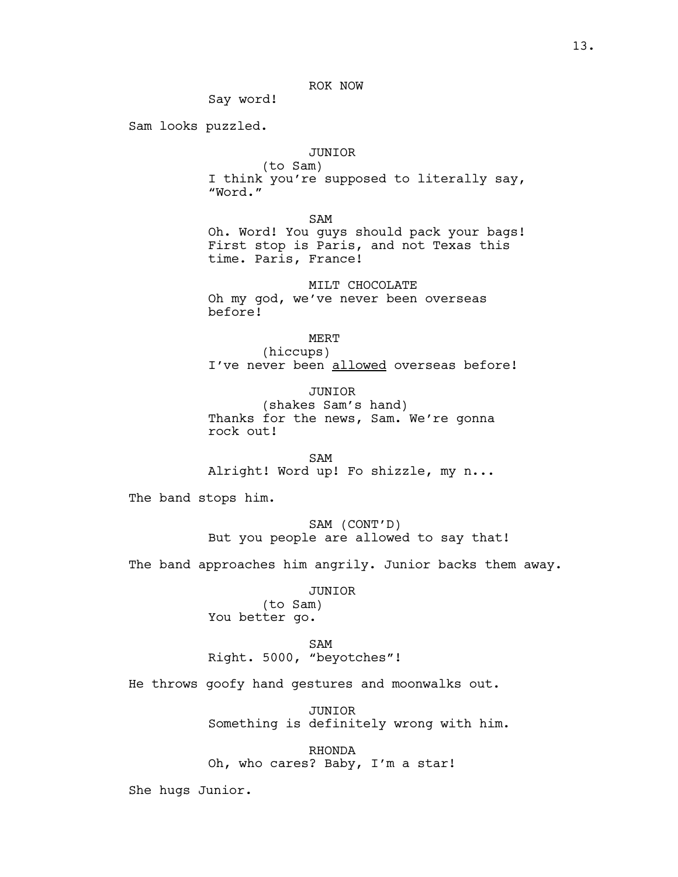# ROK NOW

Say word!

Sam looks puzzled.

# JUNIOR

(to Sam) I think you're supposed to literally say, "Word."

SAM

Oh. Word! You guys should pack your bags! First stop is Paris, and not Texas this time. Paris, France!

MILT CHOCOLATE Oh my god, we've never been overseas before!

MERT

(hiccups) I've never been allowed overseas before!

JUNIOR (shakes Sam's hand) Thanks for the news, Sam. We're gonna rock out!

SAM Alright! Word up! Fo shizzle, my n...

The band stops him.

SAM (CONT'D) But you people are allowed to say that!

The band approaches him angrily. Junior backs them away.

JUNIOR (to Sam) You better go.

SAM Right. 5000, "beyotches"!

He throws goofy hand gestures and moonwalks out.

JUNIOR Something is definitely wrong with him.

RHONDA Oh, who cares? Baby, I'm a star!

She hugs Junior.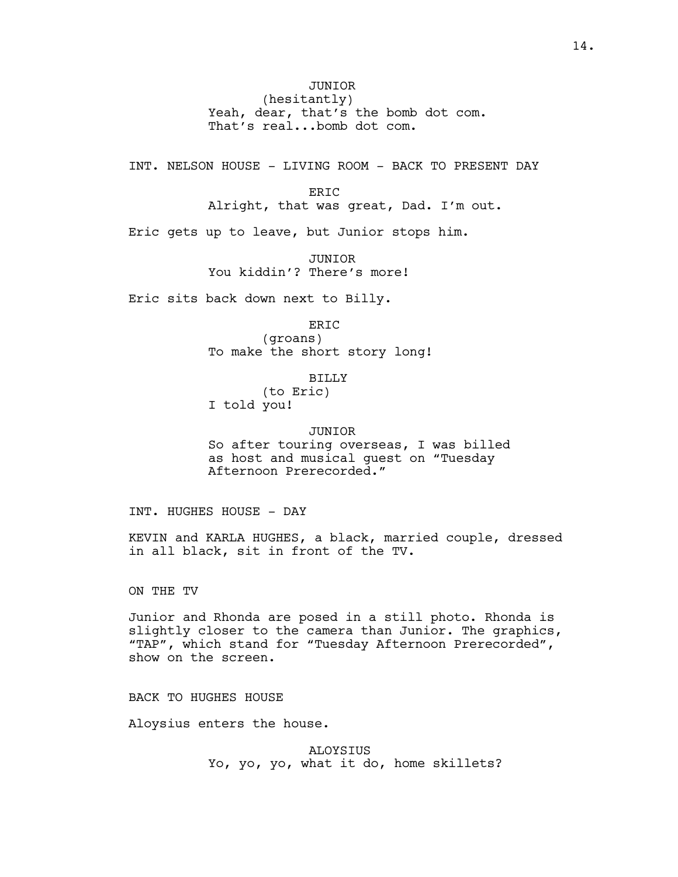JUNIOR (hesitantly) Yeah, dear, that's the bomb dot com. That's real...bomb dot com.

INT. NELSON HOUSE - LIVING ROOM - BACK TO PRESENT DAY

ERIC

Alright, that was great, Dad. I'm out.

Eric gets up to leave, but Junior stops him.

JUNIOR You kiddin'? There's more!

Eric sits back down next to Billy.

ERIC (groans) To make the short story long!

BILLY

(to Eric) I told you!

JUNIOR

So after touring overseas, I was billed as host and musical guest on "Tuesday Afternoon Prerecorded."

INT. HUGHES HOUSE - DAY

KEVIN and KARLA HUGHES, a black, married couple, dressed in all black, sit in front of the TV.

ON THE TV

Junior and Rhonda are posed in a still photo. Rhonda is slightly closer to the camera than Junior. The graphics, "TAP", which stand for "Tuesday Afternoon Prerecorded", show on the screen.

BACK TO HUGHES HOUSE

Aloysius enters the house.

ALOYSIUS Yo, yo, yo, what it do, home skillets?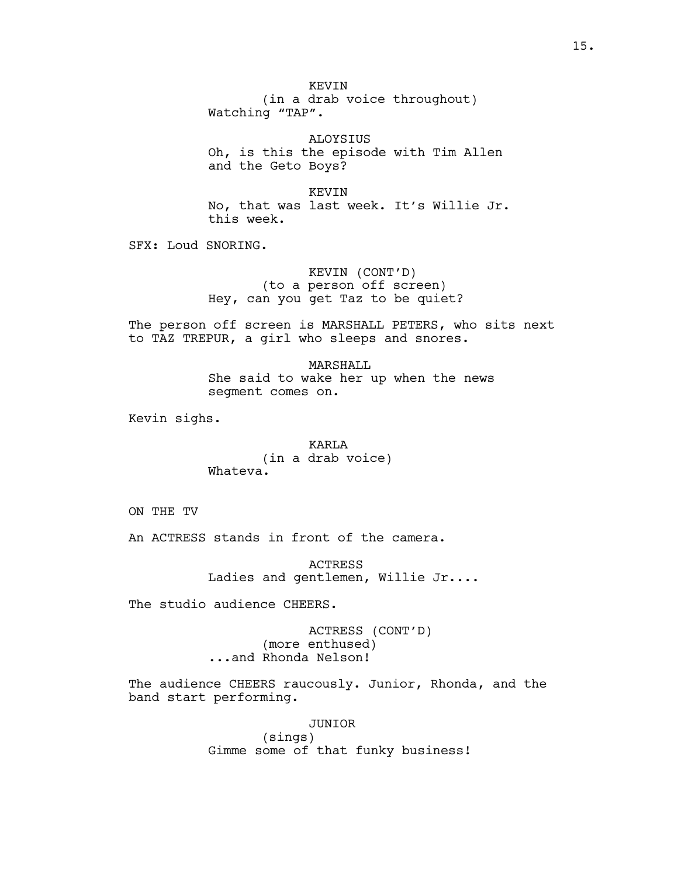KEVIN (in a drab voice throughout) Watching "TAP".

ALOYSIUS Oh, is this the episode with Tim Allen and the Geto Boys?

KEVIN No, that was last week. It's Willie Jr. this week.

SFX: Loud SNORING.

KEVIN (CONT'D) (to a person off screen) Hey, can you get Taz to be quiet?

The person off screen is MARSHALL PETERS, who sits next to TAZ TREPUR, a girl who sleeps and snores.

> MARSHALL She said to wake her up when the news segment comes on.

Kevin sighs.

KARLA (in a drab voice) Whateva.

ON THE TV

An ACTRESS stands in front of the camera.

ACTRESS Ladies and gentlemen, Willie Jr....

The studio audience CHEERS.

ACTRESS (CONT'D) (more enthused) ...and Rhonda Nelson!

The audience CHEERS raucously. Junior, Rhonda, and the band start performing.

> JUNIOR (sings) Gimme some of that funky business!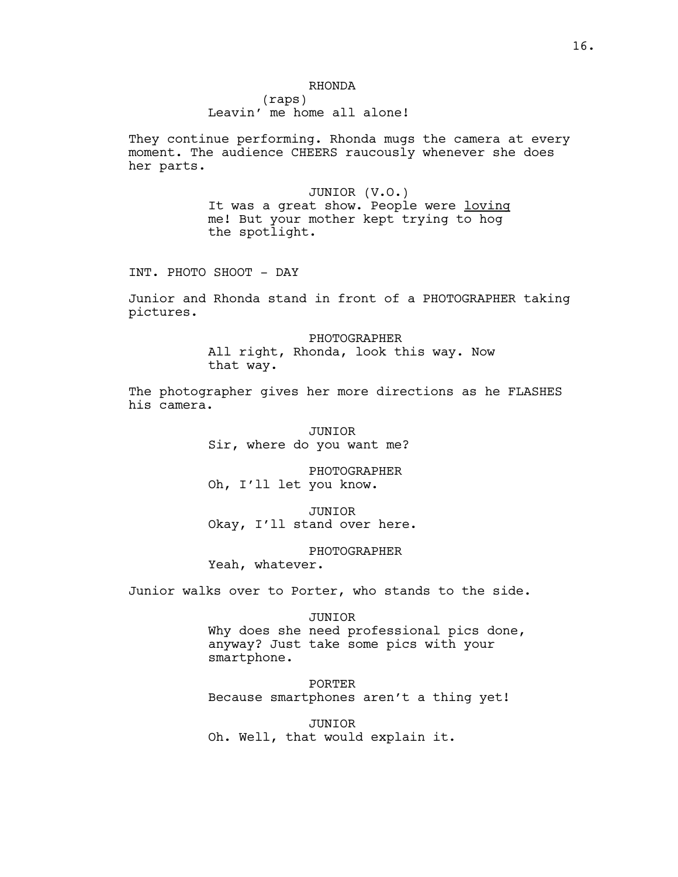(raps) Leavin' me home all alone!

They continue performing. Rhonda mugs the camera at every moment. The audience CHEERS raucously whenever she does her parts.

> JUNIOR (V.O.) It was a great show. People were loving me! But your mother kept trying to hog the spotlight.

INT. PHOTO SHOOT - DAY

Junior and Rhonda stand in front of a PHOTOGRAPHER taking pictures.

> PHOTOGRAPHER All right, Rhonda, look this way. Now that way.

The photographer gives her more directions as he FLASHES his camera.

> JUNIOR Sir, where do you want me?

PHOTOGRAPHER Oh, I'll let you know.

JUNIOR Okay, I'll stand over here.

PHOTOGRAPHER

Yeah, whatever.

Junior walks over to Porter, who stands to the side.

### JUNIOR

Why does she need professional pics done, anyway? Just take some pics with your smartphone.

PORTER Because smartphones aren't a thing yet!

JUNIOR Oh. Well, that would explain it.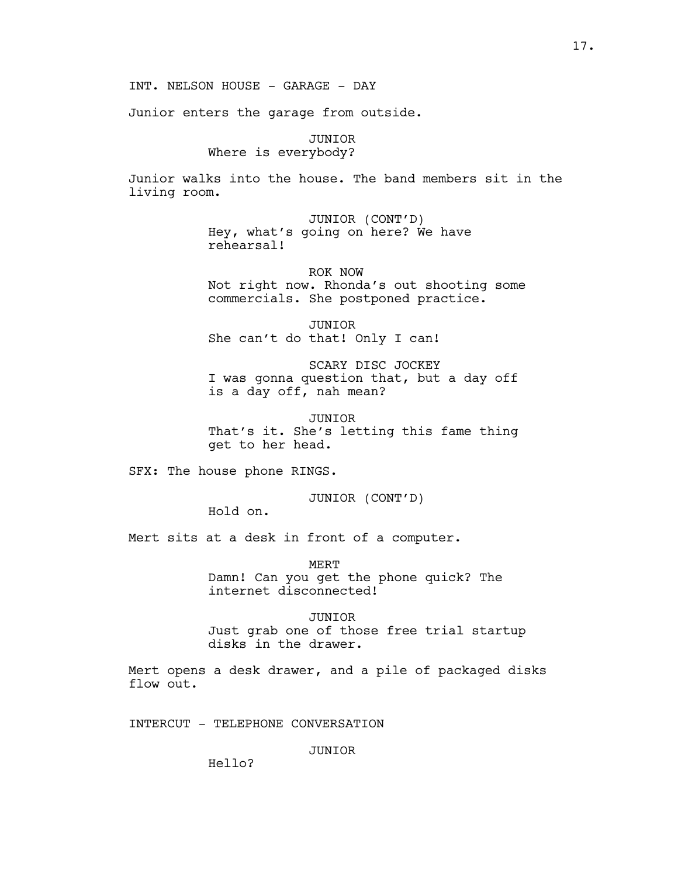INT. NELSON HOUSE - GARAGE - DAY

Junior enters the garage from outside.

JUNIOR Where is everybody?

Junior walks into the house. The band members sit in the living room.

> JUNIOR (CONT'D) Hey, what's going on here? We have rehearsal!

ROK NOW Not right now. Rhonda's out shooting some commercials. She postponed practice.

JUNIOR She can't do that! Only I can!

SCARY DISC JOCKEY I was gonna question that, but a day off is a day off, nah mean?

JUNIOR That's it. She's letting this fame thing get to her head.

SFX: The house phone RINGS.

JUNIOR (CONT'D)

Hold on.

Mert sits at a desk in front of a computer.

MERT Damn! Can you get the phone quick? The internet disconnected!

JUNIOR Just grab one of those free trial startup disks in the drawer.

Mert opens a desk drawer, and a pile of packaged disks flow out.

INTERCUT - TELEPHONE CONVERSATION

JUNIOR

Hello?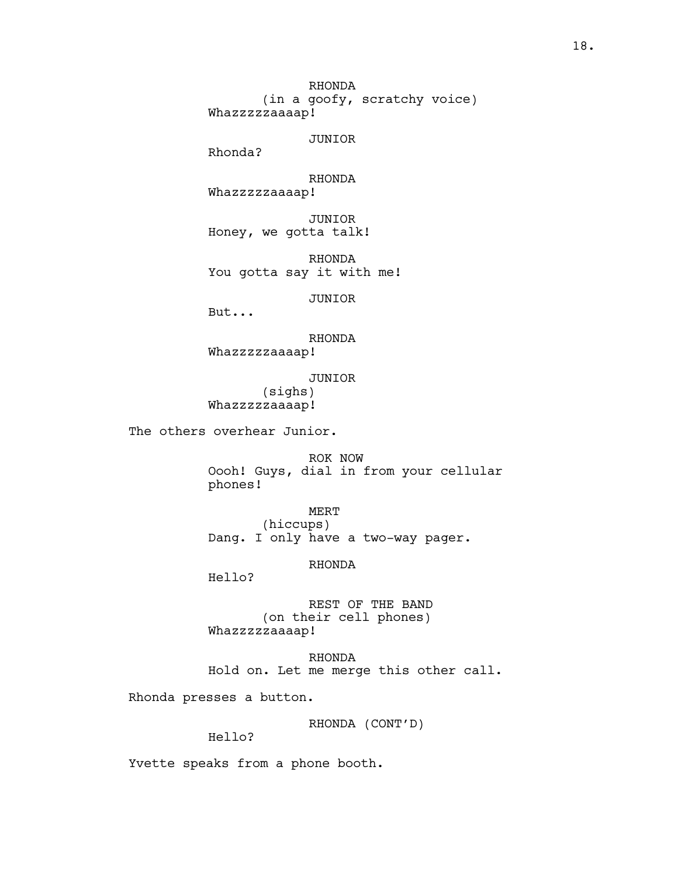RHONDA (in a goofy, scratchy voice) Whazzzzzaaaap!

JUNIOR

Rhonda?

RHONDA Whazzzzzaaaap!

JUNIOR Honey, we gotta talk!

RHONDA You gotta say it with me!

JUNIOR

But...

RHONDA

Whazzzzzaaaap!

JUNIOR

(sighs) Whazzzzzaaaap!

The others overhear Junior.

ROK NOW Oooh! Guys, dial in from your cellular phones!

MERT (hiccups) Dang. I only have a two-way pager.

RHONDA

Hello?

REST OF THE BAND (on their cell phones) Whazzzzzaaaap!

RHONDA Hold on. Let me merge this other call.

Rhonda presses a button.

RHONDA (CONT'D)

Hello?

Yvette speaks from a phone booth.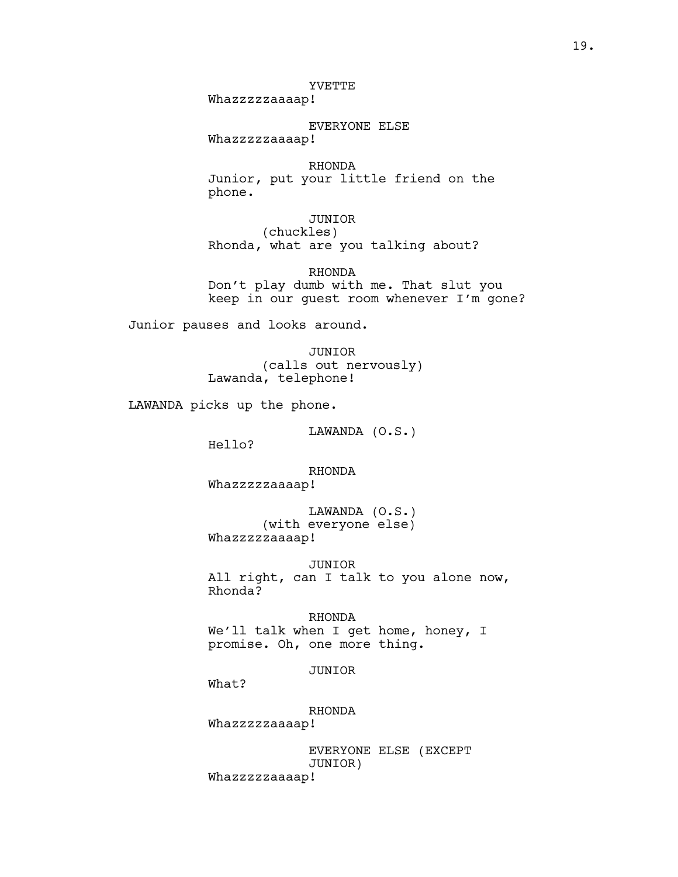# YVETTE

Whazzzzzaaaap!

EVERYONE ELSE Whazzzzzaaaap!

RHONDA Junior, put your little friend on the phone.

JUNIOR (chuckles) Rhonda, what are you talking about?

RHONDA Don't play dumb with me. That slut you keep in our guest room whenever I'm gone?

Junior pauses and looks around.

JUNIOR (calls out nervously) Lawanda, telephone!

LAWANDA picks up the phone.

LAWANDA (O.S.)

Hello?

RHONDA

Whazzzzzaaaap!

LAWANDA (O.S.) (with everyone else) Whazzzzzaaaap!

JUNIOR

All right, can I talk to you alone now, Rhonda?

RHONDA

We'll talk when I get home, honey, I promise. Oh, one more thing.

JUNIOR

What?

RHONDA

Whazzzzzaaaap!

EVERYONE ELSE (EXCEPT JUNIOR) Whazzzzzaaaap!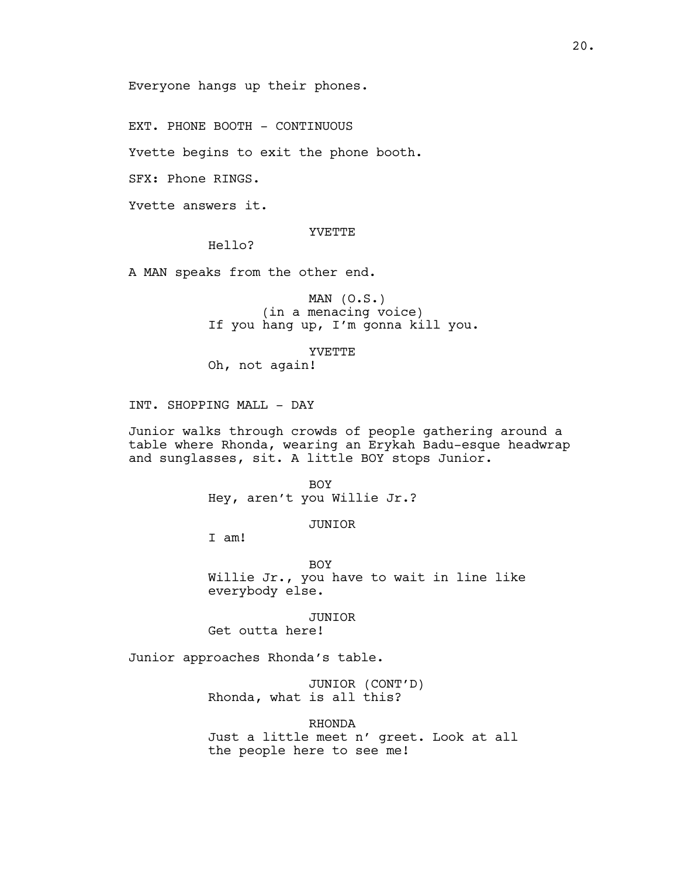Everyone hangs up their phones.

EXT. PHONE BOOTH - CONTINUOUS

Yvette begins to exit the phone booth.

SFX: Phone RINGS.

Yvette answers it.

## YVETTE

Hello?

A MAN speaks from the other end.

MAN  $(O.S.)$ (in a menacing voice) If you hang up, I'm gonna kill you.

YVETTE

Oh, not again!

INT. SHOPPING MALL - DAY

Junior walks through crowds of people gathering around a table where Rhonda, wearing an Erykah Badu-esque headwrap and sunglasses, sit. A little BOY stops Junior.

> BOY Hey, aren't you Willie Jr.?

## JUNIOR

I am!

BOY Willie Jr., you have to wait in line like everybody else.

JUNIOR

Get outta here!

Junior approaches Rhonda's table.

JUNIOR (CONT'D) Rhonda, what is all this?

RHONDA

Just a little meet n' greet. Look at all the people here to see me!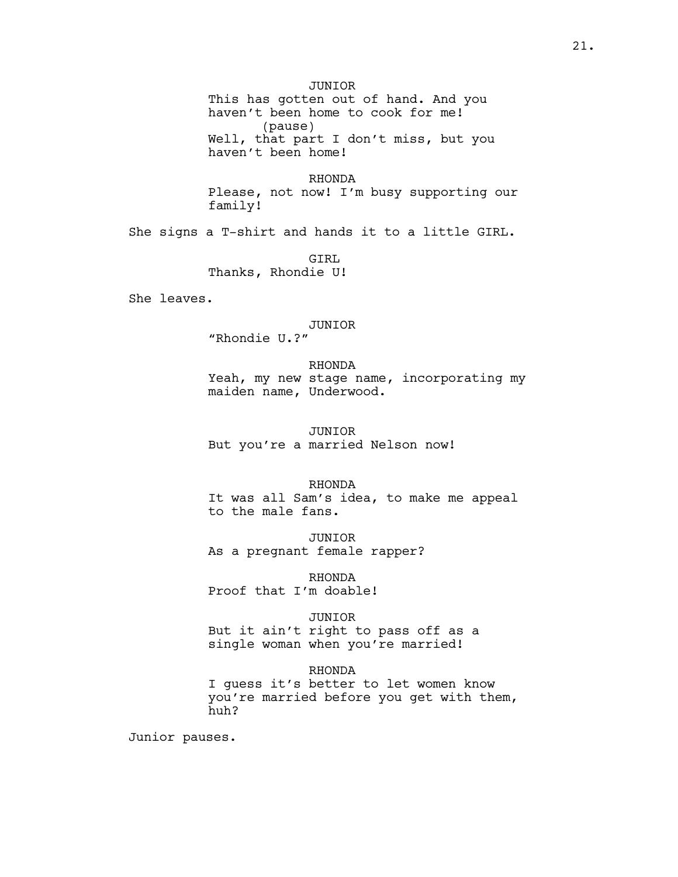JUNIOR This has gotten out of hand. And you haven't been home to cook for me! (pause) Well, that part I don't miss, but you haven't been home!

RHONDA Please, not now! I'm busy supporting our family!

She signs a T-shirt and hands it to a little GIRL.

GTRL Thanks, Rhondie U!

She leaves.

# JUNIOR

"Rhondie U.?"

# RHONDA

Yeah, my new stage name, incorporating my maiden name, Underwood.

### JUNIOR

But you're a married Nelson now!

### RHONDA

It was all Sam's idea, to make me appeal to the male fans.

JUNIOR As a pregnant female rapper?

RHONDA Proof that I'm doable!

### JUNIOR

But it ain't right to pass off as a single woman when you're married!

#### RHONDA

I guess it's better to let women know you're married before you get with them, huh?

Junior pauses.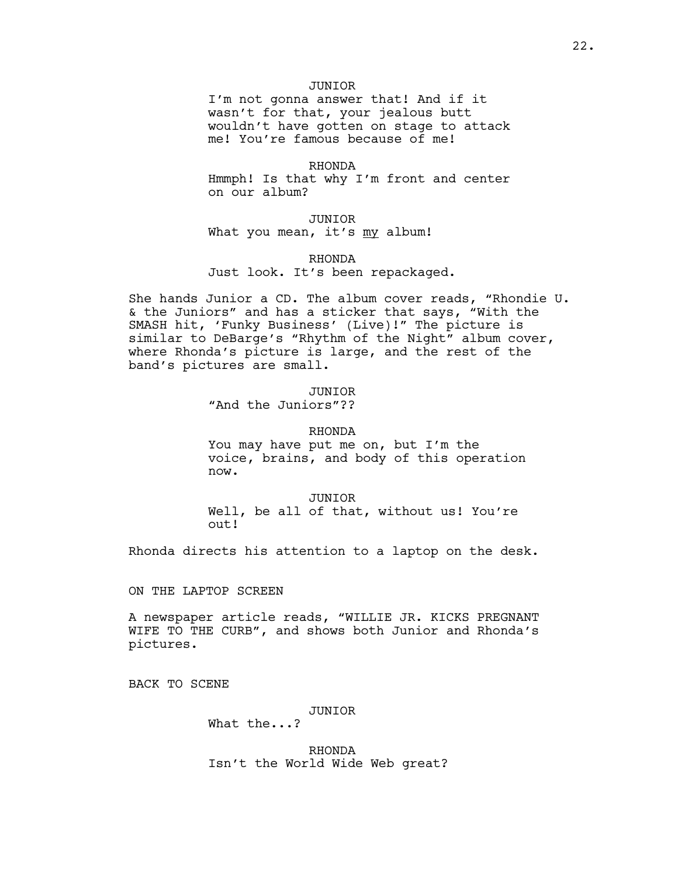## JUNIOR

I'm not gonna answer that! And if it wasn't for that, your jealous butt wouldn't have gotten on stage to attack me! You're famous because of me!

### RHONDA

Hmmph! Is that why I'm front and center on our album?

JUNIOR What you mean, it's my album!

RHONDA Just look. It's been repackaged.

She hands Junior a CD. The album cover reads, "Rhondie U. & the Juniors" and has a sticker that says, "With the SMASH hit, 'Funky Business' (Live)!" The picture is similar to DeBarge's "Rhythm of the Night" album cover, where Rhonda's picture is large, and the rest of the band's pictures are small.

## JUNIOR

"And the Juniors"??

### RHONDA

You may have put me on, but I'm the voice, brains, and body of this operation now.

JUNIOR Well, be all of that, without us! You're out!

Rhonda directs his attention to a laptop on the desk.

### ON THE LAPTOP SCREEN

A newspaper article reads, "WILLIE JR. KICKS PREGNANT WIFE TO THE CURB", and shows both Junior and Rhonda's pictures.

BACK TO SCENE

#### JUNIOR

What the...?

RHONDA Isn't the World Wide Web great?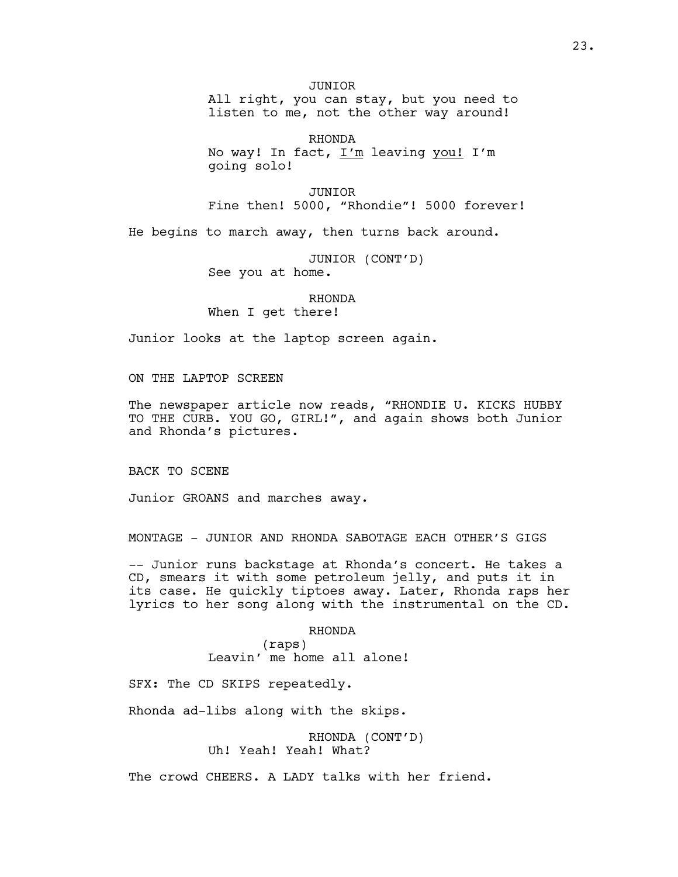JUNIOR

All right, you can stay, but you need to listen to me, not the other way around!

RHONDA No way! In fact, I'm leaving you! I'm going solo!

JUNIOR Fine then! 5000, "Rhondie"! 5000 forever!

He begins to march away, then turns back around.

JUNIOR (CONT'D) See you at home.

# RHONDA

When I get there!

Junior looks at the laptop screen again.

ON THE LAPTOP SCREEN

The newspaper article now reads, "RHONDIE U. KICKS HUBBY TO THE CURB. YOU GO, GIRL!", and again shows both Junior and Rhonda's pictures.

BACK TO SCENE

Junior GROANS and marches away.

MONTAGE - JUNIOR AND RHONDA SABOTAGE EACH OTHER'S GIGS

-- Junior runs backstage at Rhonda's concert. He takes a CD, smears it with some petroleum jelly, and puts it in its case. He quickly tiptoes away. Later, Rhonda raps her lyrics to her song along with the instrumental on the CD.

### RHONDA

(raps) Leavin' me home all alone!

SFX: The CD SKIPS repeatedly.

Rhonda ad-libs along with the skips.

RHONDA (CONT'D) Uh! Yeah! Yeah! What?

The crowd CHEERS. A LADY talks with her friend.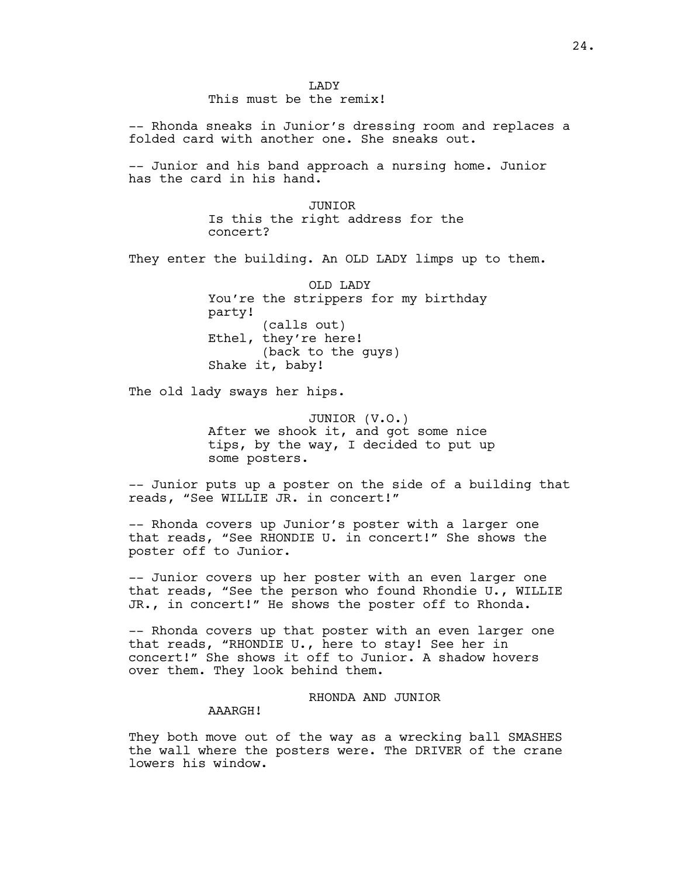-- Rhonda sneaks in Junior's dressing room and replaces a folded card with another one. She sneaks out.

-- Junior and his band approach a nursing home. Junior has the card in his hand.

> JUNIOR Is this the right address for the concert?

They enter the building. An OLD LADY limps up to them.

OLD LADY You're the strippers for my birthday party! (calls out) Ethel, they're here! (back to the guys) Shake it, baby!

The old lady sways her hips.

JUNIOR (V.O.) After we shook it, and got some nice tips, by the way, I decided to put up some posters.

-- Junior puts up a poster on the side of a building that reads, "See WILLIE JR. in concert!"

-- Rhonda covers up Junior's poster with a larger one that reads, "See RHONDIE U. in concert!" She shows the poster off to Junior.

-- Junior covers up her poster with an even larger one that reads, "See the person who found Rhondie U., WILLIE JR., in concert!" He shows the poster off to Rhonda.

-- Rhonda covers up that poster with an even larger one that reads, "RHONDIE U., here to stay! See her in concert!" She shows it off to Junior. A shadow hovers over them. They look behind them.

## RHONDA AND JUNIOR

AAARGH!

They both move out of the way as a wrecking ball SMASHES the wall where the posters were. The DRIVER of the crane lowers his window.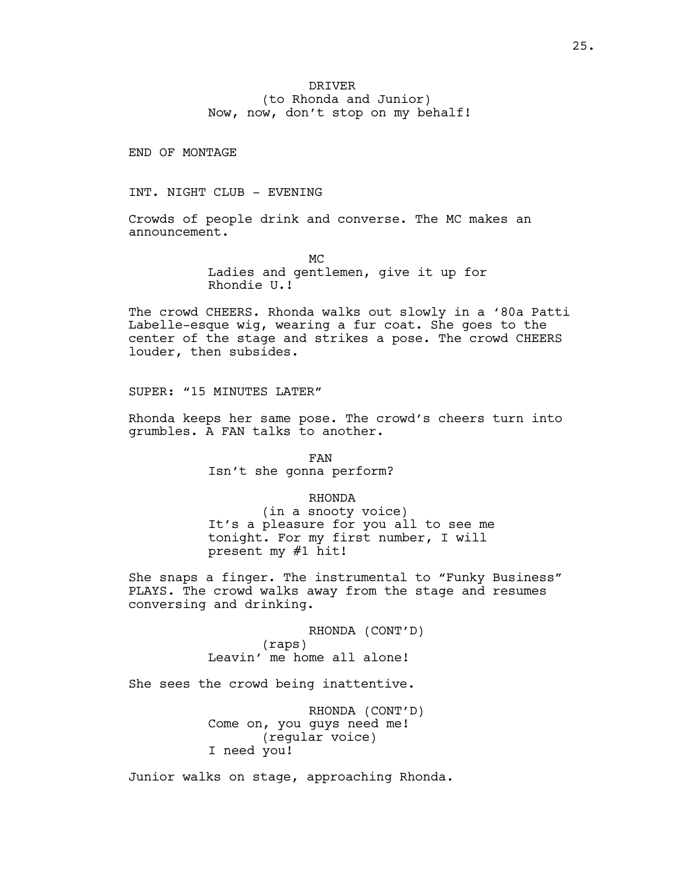# DRIVER (to Rhonda and Junior) Now, now, don't stop on my behalf!

END OF MONTAGE

INT. NIGHT CLUB - EVENING

Crowds of people drink and converse. The MC makes an announcement.

> MC Ladies and gentlemen, give it up for Rhondie U.!

The crowd CHEERS. Rhonda walks out slowly in a '80a Patti Labelle-esque wig, wearing a fur coat. She goes to the center of the stage and strikes a pose. The crowd CHEERS louder, then subsides.

SUPER: "15 MINUTES LATER"

Rhonda keeps her same pose. The crowd's cheers turn into grumbles. A FAN talks to another.

> FAN Isn't she gonna perform?

> > RHONDA

(in a snooty voice) It's a pleasure for you all to see me tonight. For my first number, I will present my #1 hit!

She snaps a finger. The instrumental to "Funky Business" PLAYS. The crowd walks away from the stage and resumes conversing and drinking.

> RHONDA (CONT'D) (raps) Leavin' me home all alone!

She sees the crowd being inattentive.

RHONDA (CONT'D) Come on, you guys need me! (regular voice) I need you!

Junior walks on stage, approaching Rhonda.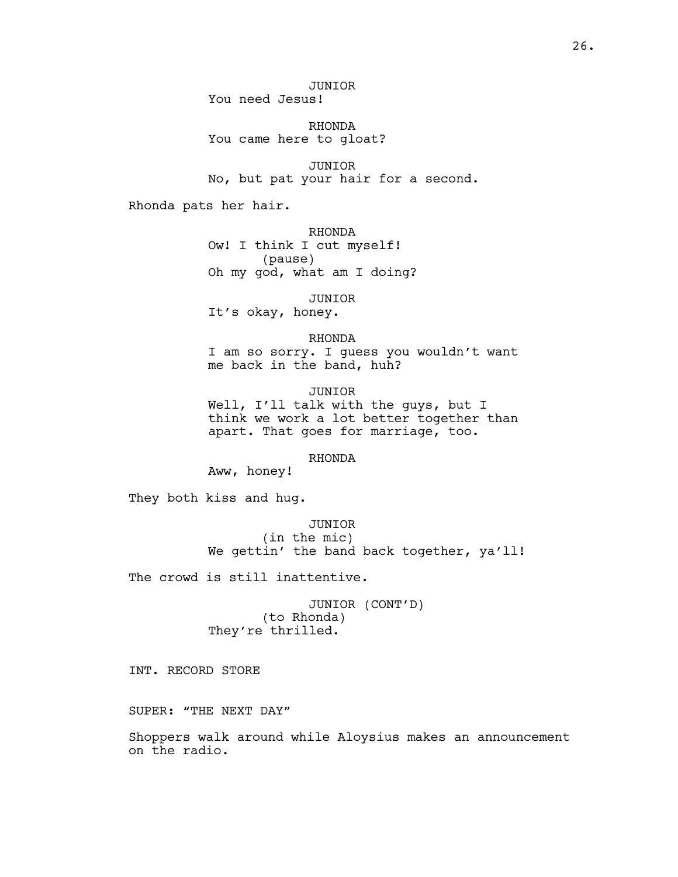RHONDA You came here to gloat?

JUNIOR No, but pat your hair for a second.

Rhonda pats her hair.

RHONDA Ow! I think I cut myself! (pause) Oh my god, what am I doing?

JUNIOR It's okay, honey.

RHONDA I am so sorry. I guess you wouldn't want me back in the band, huh?

JUNIOR Well, I'll talk with the guys, but I think we work a lot better together than apart. That goes for marriage, too.

RHONDA

Aww, honey!

They both kiss and hug.

JUNIOR (in the mic) We gettin' the band back together, ya'll!

The crowd is still inattentive.

JUNIOR (CONT'D) (to Rhonda) They're thrilled.

INT. RECORD STORE

SUPER: "THE NEXT DAY"

Shoppers walk around while Aloysius makes an announcement on the radio.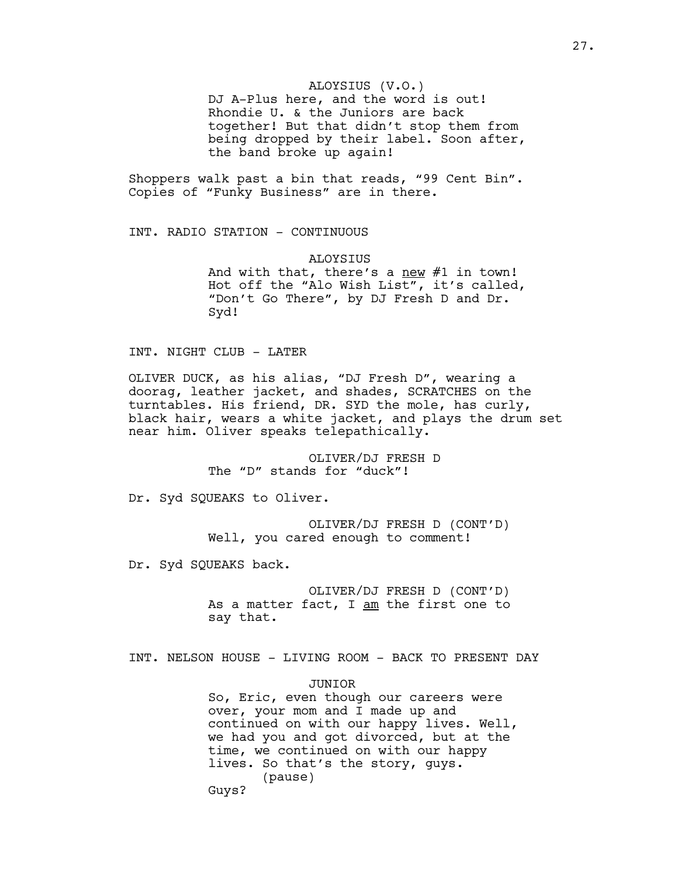## ALOYSIUS (V.O.)

DJ A-Plus here, and the word is out! Rhondie U. & the Juniors are back together! But that didn't stop them from being dropped by their label. Soon after, the band broke up again!

Shoppers walk past a bin that reads, "99 Cent Bin". Copies of "Funky Business" are in there.

INT. RADIO STATION - CONTINUOUS

ALOYSIUS And with that, there's a new  $#1$  in town! Hot off the "Alo Wish List", it's called, "Don't Go There", by DJ Fresh D and Dr. Syd!

INT. NIGHT CLUB - LATER

OLIVER DUCK, as his alias, "DJ Fresh D", wearing a doorag, leather jacket, and shades, SCRATCHES on the turntables. His friend, DR. SYD the mole, has curly, black hair, wears a white jacket, and plays the drum set near him. Oliver speaks telepathically.

> OLIVER/DJ FRESH D The "D" stands for "duck"!

Dr. Syd SQUEAKS to Oliver.

OLIVER/DJ FRESH D (CONT'D) Well, you cared enough to comment!

Dr. Syd SQUEAKS back.

OLIVER/DJ FRESH D (CONT'D) As a matter fact, I am the first one to say that.

INT. NELSON HOUSE - LIVING ROOM - BACK TO PRESENT DAY

JUNIOR So, Eric, even though our careers were over, your mom and I made up and continued on with our happy lives. Well, we had you and got divorced, but at the time, we continued on with our happy lives. So that's the story, guys. (pause) Guys?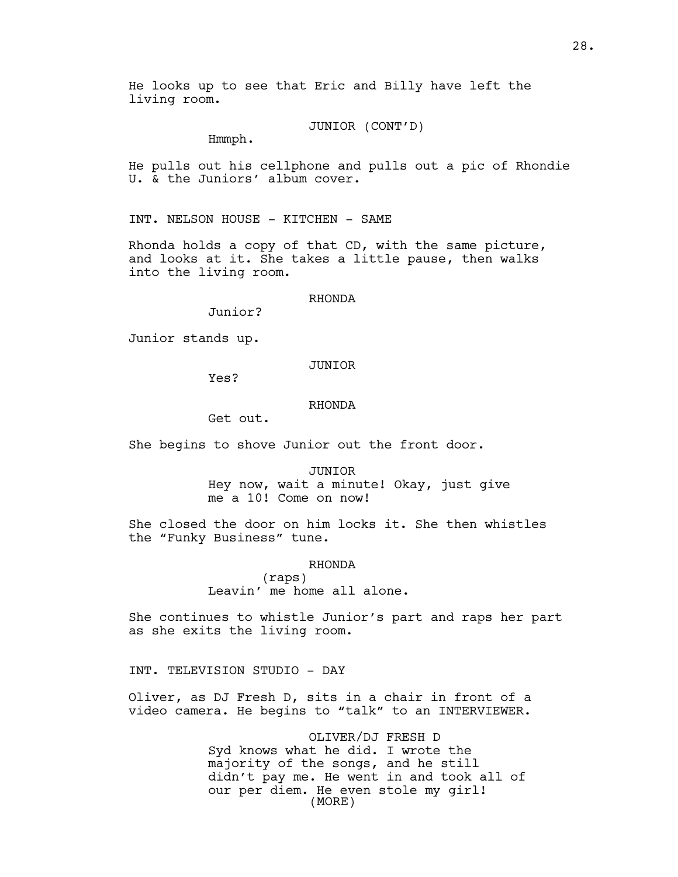He looks up to see that Eric and Billy have left the living room.

### JUNIOR (CONT'D)

Hmmph.

He pulls out his cellphone and pulls out a pic of Rhondie U. & the Juniors' album cover.

INT. NELSON HOUSE - KITCHEN - SAME

Rhonda holds a copy of that CD, with the same picture, and looks at it. She takes a little pause, then walks into the living room.

## RHONDA

Junior?

Junior stands up.

## JUNIOR

Yes?

# RHONDA

Get out.

She begins to shove Junior out the front door.

#### JUNIOR

Hey now, wait a minute! Okay, just give me a 10! Come on now!

She closed the door on him locks it. She then whistles the "Funky Business" tune.

#### RHONDA

(raps) Leavin' me home all alone.

She continues to whistle Junior's part and raps her part as she exits the living room.

INT. TELEVISION STUDIO - DAY

Oliver, as DJ Fresh D, sits in a chair in front of a video camera. He begins to "talk" to an INTERVIEWER.

> OLIVER/DJ FRESH D Syd knows what he did. I wrote the majority of the songs, and he still didn't pay me. He went in and took all of our per diem. He even stole my girl! (MORE)